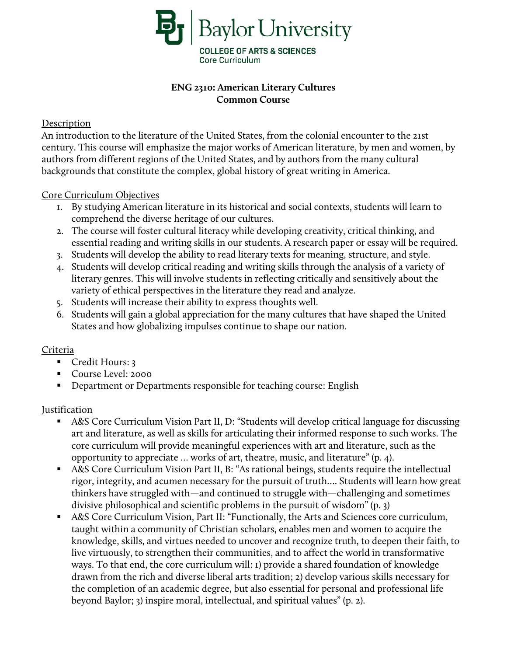

# **ENG 2310: American Literary Cultures Common Course**

### Description

An introduction to the literature of the United States, from the colonial encounter to the 21st century. This course will emphasize the major works of American literature, by men and women, by authors from different regions of the United States, and by authors from the many cultural backgrounds that constitute the complex, global history of great writing in America.

### Core Curriculum Objectives

- 1. By studying American literature in its historical and social contexts, students will learn to comprehend the diverse heritage of our cultures.
- 2. The course will foster cultural literacy while developing creativity, critical thinking, and essential reading and writing skills in our students. A research paper or essay will be required.
- 3. Students will develop the ability to read literary texts for meaning, structure, and style.
- 4. Students will develop critical reading and writing skills through the analysis of a variety of literary genres. This will involve students in reflecting critically and sensitively about the variety of ethical perspectives in the literature they read and analyze.
- 5. Students will increase their ability to express thoughts well.
- 6. Students will gain a global appreciation for the many cultures that have shaped the United States and how globalizing impulses continue to shape our nation.

## Criteria

- Credit Hours: 3
- Course Level: 2000
- **•** Department or Departments responsible for teaching course: English

#### Justification

- A&S Core Curriculum Vision Part II, D: "Students will develop critical language for discussing art and literature, as well as skills for articulating their informed response to such works. The core curriculum will provide meaningful experiences with art and literature, such as the opportunity to appreciate … works of art, theatre, music, and literature" (p. 4).
- A&S Core Curriculum Vision Part II, B: "As rational beings, students require the intellectual rigor, integrity, and acumen necessary for the pursuit of truth…. Students will learn how great thinkers have struggled with—and continued to struggle with—challenging and sometimes divisive philosophical and scientific problems in the pursuit of wisdom" (p. 3)
- A&S Core Curriculum Vision, Part II: "Functionally, the Arts and Sciences core curriculum, taught within a community of Christian scholars, enables men and women to acquire the knowledge, skills, and virtues needed to uncover and recognize truth, to deepen their faith, to live virtuously, to strengthen their communities, and to affect the world in transformative ways. To that end, the core curriculum will: 1) provide a shared foundation of knowledge drawn from the rich and diverse liberal arts tradition; 2) develop various skills necessary for the completion of an academic degree, but also essential for personal and professional life beyond Baylor; 3) inspire moral, intellectual, and spiritual values" (p. 2).